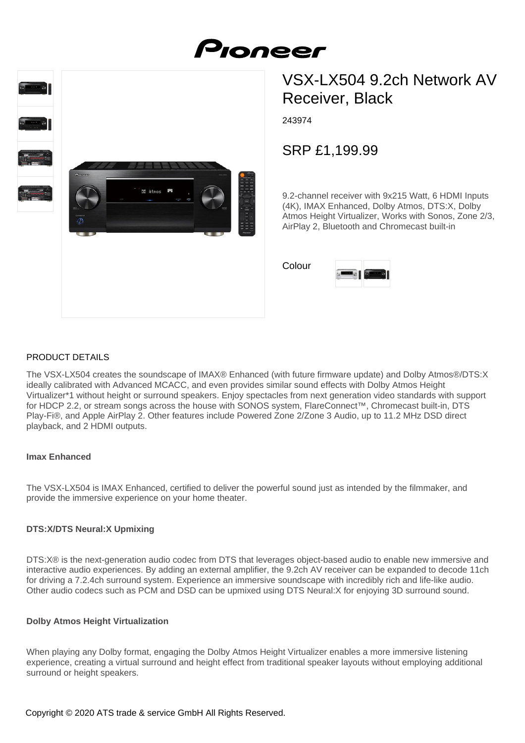



# VSX-LX504 9.2ch Network AV Receiver, Black

243974

SRP £1,199.99

9.2-channel receiver with 9x215 Watt, 6 HDMI Inputs (4K), IMAX Enhanced, Dolby Atmos, DTS:X, Dolby Atmos Height Virtualizer, Works with Sonos, Zone 2/3, AirPlay 2, Bluetooth and Chromecast built-in

Colour

# PRODUCT DETAILS

The VSX-LX504 creates the soundscape of IMAX® Enhanced (with future firmware update) and Dolby Atmos®/DTS:X ideally calibrated with Advanced MCACC, and even provides similar sound effects with Dolby Atmos Height Virtualizer\*1 without height or surround speakers. Enjoy spectacles from next generation video standards with support for HDCP 2.2, or stream songs across the house with SONOS system, FlareConnect™, Chromecast built-in, DTS Play-Fi®, and Apple AirPlay 2. Other features include Powered Zone 2/Zone 3 Audio, up to 11.2 MHz DSD direct playback, and 2 HDMI outputs.

#### **Imax Enhanced**

The VSX-LX504 is IMAX Enhanced, certified to deliver the powerful sound just as intended by the filmmaker, and provide the immersive experience on your home theater.

## **DTS:X/DTS Neural:X Upmixing**

DTS:X® is the next-generation audio codec from DTS that leverages object-based audio to enable new immersive and interactive audio experiences. By adding an external amplifier, the 9.2ch AV receiver can be expanded to decode 11ch for driving a 7.2.4ch surround system. Experience an immersive soundscape with incredibly rich and life-like audio. Other audio codecs such as PCM and DSD can be upmixed using DTS Neural:X for enjoying 3D surround sound.

## **Dolby Atmos Height Virtualization**

When playing any Dolby format, engaging the Dolby Atmos Height Virtualizer enables a more immersive listening experience, creating a virtual surround and height effect from traditional speaker layouts without employing additional surround or height speakers.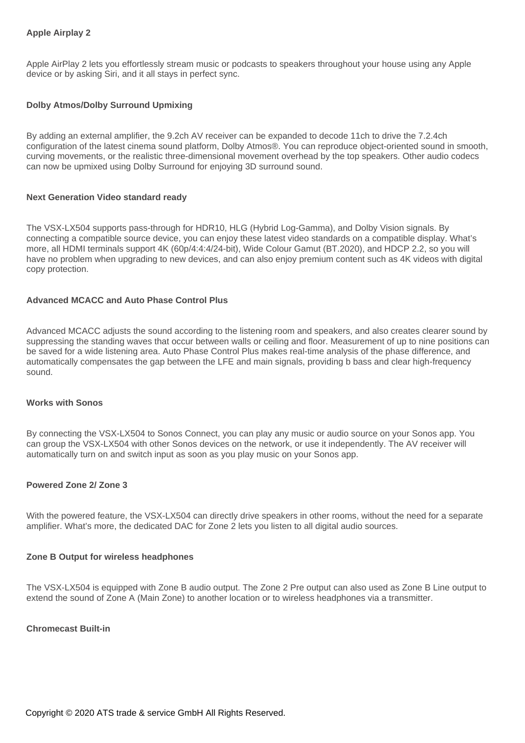## **Apple Airplay 2**

Apple AirPlay 2 lets you effortlessly stream music or podcasts to speakers throughout your house using any Apple device or by asking Siri, and it all stays in perfect sync.

## **Dolby Atmos/Dolby Surround Upmixing**

By adding an external amplifier, the 9.2ch AV receiver can be expanded to decode 11ch to drive the 7.2.4ch configuration of the latest cinema sound platform, Dolby Atmos®. You can reproduce object-oriented sound in smooth, curving movements, or the realistic three-dimensional movement overhead by the top speakers. Other audio codecs can now be upmixed using Dolby Surround for enjoying 3D surround sound.

#### **Next Generation Video standard ready**

The VSX-LX504 supports pass-through for HDR10, HLG (Hybrid Log-Gamma), and Dolby Vision signals. By connecting a compatible source device, you can enjoy these latest video standards on a compatible display. What's more, all HDMI terminals support 4K (60p/4:4:4/24-bit), Wide Colour Gamut (BT.2020), and HDCP 2.2, so you will have no problem when upgrading to new devices, and can also enjoy premium content such as 4K videos with digital copy protection.

## **Advanced MCACC and Auto Phase Control Plus**

Advanced MCACC adjusts the sound according to the listening room and speakers, and also creates clearer sound by suppressing the standing waves that occur between walls or ceiling and floor. Measurement of up to nine positions can be saved for a wide listening area. Auto Phase Control Plus makes real-time analysis of the phase difference, and automatically compensates the gap between the LFE and main signals, providing b bass and clear high-frequency sound.

#### **Works with Sonos**

By connecting the VSX-LX504 to Sonos Connect, you can play any music or audio source on your Sonos app. You can group the VSX-LX504 with other Sonos devices on the network, or use it independently. The AV receiver will automatically turn on and switch input as soon as you play music on your Sonos app.

#### **Powered Zone 2/ Zone 3**

With the powered feature, the VSX-LX504 can directly drive speakers in other rooms, without the need for a separate amplifier. What's more, the dedicated DAC for Zone 2 lets you listen to all digital audio sources.

#### **Zone B Output for wireless headphones**

The VSX-LX504 is equipped with Zone B audio output. The Zone 2 Pre output can also used as Zone B Line output to extend the sound of Zone A (Main Zone) to another location or to wireless headphones via a transmitter.

#### **Chromecast Built-in**